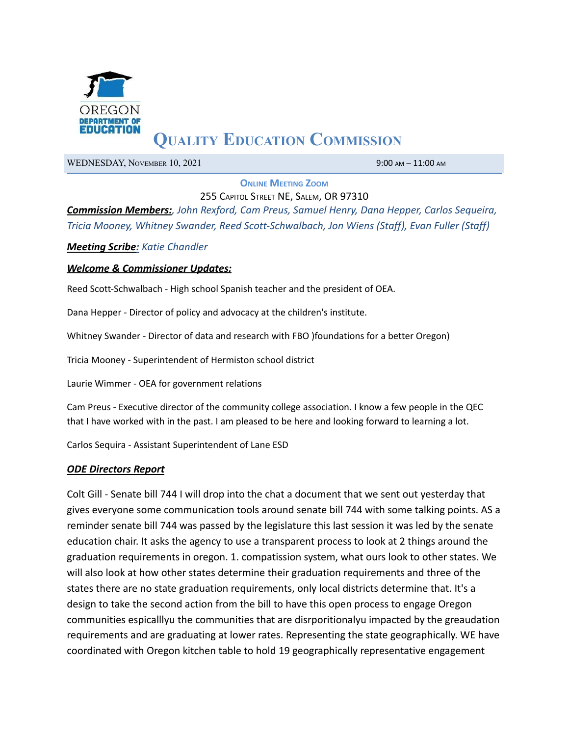

# **QUALITY EDUCATION COMMISSION**

WEDNESDAY, NOVEMBER 10, 2021 9:00 AM – 11:00 AM

**ONLINE MEETING ZOOM**

255 CAPITOL STREET NE, SALEM, OR 97310 *Commission Members:, John Rexford, Cam Preus, Samuel Henry, Dana Hepper, Carlos Sequeira,*

*Tricia Mooney, Whitney Swander, Reed Scott-Schwalbach, Jon Wiens (Staff), Evan Fuller (Staff)*

*Meeting Scribe: Katie Chandler*

#### *Welcome & Commissioner Updates:*

Reed Scott-Schwalbach - High school Spanish teacher and the president of OEA.

Dana Hepper - Director of policy and advocacy at the children's institute.

Whitney Swander - Director of data and research with FBO )foundations for a better Oregon)

Tricia Mooney - Superintendent of Hermiston school district

Laurie Wimmer - OEA for government relations

Cam Preus - Executive director of the community college association. I know a few people in the QEC that I have worked with in the past. I am pleased to be here and looking forward to learning a lot.

Carlos Sequira - Assistant Superintendent of Lane ESD

#### *ODE Directors Report*

Colt Gill - Senate bill 744 I will drop into the chat a document that we sent out yesterday that gives everyone some communication tools around senate bill 744 with some talking points. AS a reminder senate bill 744 was passed by the legislature this last session it was led by the senate education chair. It asks the agency to use a transparent process to look at 2 things around the graduation requirements in oregon. 1. compatission system, what ours look to other states. We will also look at how other states determine their graduation requirements and three of the states there are no state graduation requirements, only local districts determine that. It's a design to take the second action from the bill to have this open process to engage Oregon communities espicalllyu the communities that are disrporitionalyu impacted by the greaudation requirements and are graduating at lower rates. Representing the state geographically. WE have coordinated with Oregon kitchen table to hold 19 geographically representative engagement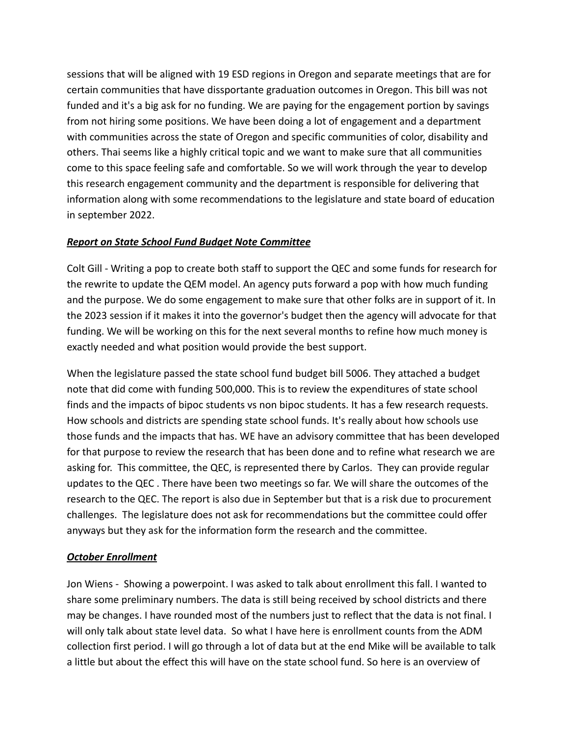sessions that will be aligned with 19 ESD regions in Oregon and separate meetings that are for certain communities that have dissportante graduation outcomes in Oregon. This bill was not funded and it's a big ask for no funding. We are paying for the engagement portion by savings from not hiring some positions. We have been doing a lot of engagement and a department with communities across the state of Oregon and specific communities of color, disability and others. Thai seems like a highly critical topic and we want to make sure that all communities come to this space feeling safe and comfortable. So we will work through the year to develop this research engagement community and the department is responsible for delivering that information along with some recommendations to the legislature and state board of education in september 2022.

## *Report on State School Fund Budget Note Committee*

Colt Gill - Writing a pop to create both staff to support the QEC and some funds for research for the rewrite to update the QEM model. An agency puts forward a pop with how much funding and the purpose. We do some engagement to make sure that other folks are in support of it. In the 2023 session if it makes it into the governor's budget then the agency will advocate for that funding. We will be working on this for the next several months to refine how much money is exactly needed and what position would provide the best support.

When the legislature passed the state school fund budget bill 5006. They attached a budget note that did come with funding 500,000. This is to review the expenditures of state school finds and the impacts of bipoc students vs non bipoc students. It has a few research requests. How schools and districts are spending state school funds. It's really about how schools use those funds and the impacts that has. WE have an advisory committee that has been developed for that purpose to review the research that has been done and to refine what research we are asking for. This committee, the QEC, is represented there by Carlos. They can provide regular updates to the QEC . There have been two meetings so far. We will share the outcomes of the research to the QEC. The report is also due in September but that is a risk due to procurement challenges. The legislature does not ask for recommendations but the committee could offer anyways but they ask for the information form the research and the committee.

## *October Enrollment*

Jon Wiens - Showing a powerpoint. I was asked to talk about enrollment this fall. I wanted to share some preliminary numbers. The data is still being received by school districts and there may be changes. I have rounded most of the numbers just to reflect that the data is not final. I will only talk about state level data. So what I have here is enrollment counts from the ADM collection first period. I will go through a lot of data but at the end Mike will be available to talk a little but about the effect this will have on the state school fund. So here is an overview of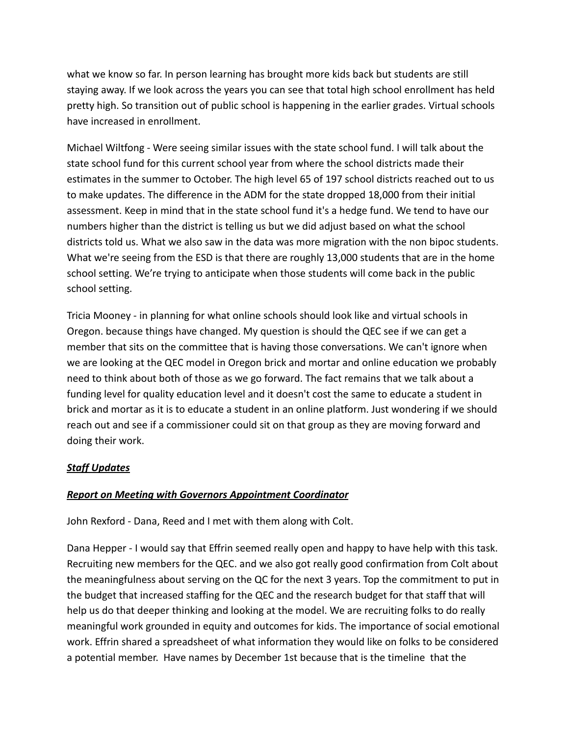what we know so far. In person learning has brought more kids back but students are still staying away. If we look across the years you can see that total high school enrollment has held pretty high. So transition out of public school is happening in the earlier grades. Virtual schools have increased in enrollment.

Michael Wiltfong - Were seeing similar issues with the state school fund. I will talk about the state school fund for this current school year from where the school districts made their estimates in the summer to October. The high level 65 of 197 school districts reached out to us to make updates. The difference in the ADM for the state dropped 18,000 from their initial assessment. Keep in mind that in the state school fund it's a hedge fund. We tend to have our numbers higher than the district is telling us but we did adjust based on what the school districts told us. What we also saw in the data was more migration with the non bipoc students. What we're seeing from the ESD is that there are roughly 13,000 students that are in the home school setting. We're trying to anticipate when those students will come back in the public school setting.

Tricia Mooney - in planning for what online schools should look like and virtual schools in Oregon. because things have changed. My question is should the QEC see if we can get a member that sits on the committee that is having those conversations. We can't ignore when we are looking at the QEC model in Oregon brick and mortar and online education we probably need to think about both of those as we go forward. The fact remains that we talk about a funding level for quality education level and it doesn't cost the same to educate a student in brick and mortar as it is to educate a student in an online platform. Just wondering if we should reach out and see if a commissioner could sit on that group as they are moving forward and doing their work.

## *Staff Updates*

## *Report on Meeting with Governors Appointment Coordinator*

John Rexford - Dana, Reed and I met with them along with Colt.

Dana Hepper - I would say that Effrin seemed really open and happy to have help with this task. Recruiting new members for the QEC. and we also got really good confirmation from Colt about the meaningfulness about serving on the QC for the next 3 years. Top the commitment to put in the budget that increased staffing for the QEC and the research budget for that staff that will help us do that deeper thinking and looking at the model. We are recruiting folks to do really meaningful work grounded in equity and outcomes for kids. The importance of social emotional work. Effrin shared a spreadsheet of what information they would like on folks to be considered a potential member. Have names by December 1st because that is the timeline that the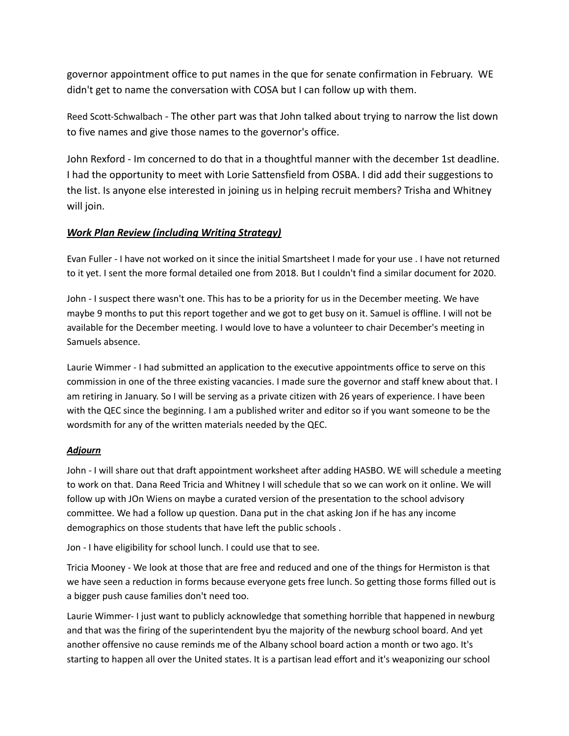governor appointment office to put names in the que for senate confirmation in February. WE didn't get to name the conversation with COSA but I can follow up with them.

Reed Scott-Schwalbach - The other part was that John talked about trying to narrow the list down to five names and give those names to the governor's office.

John Rexford - Im concerned to do that in a thoughtful manner with the december 1st deadline. I had the opportunity to meet with Lorie Sattensfield from OSBA. I did add their suggestions to the list. Is anyone else interested in joining us in helping recruit members? Trisha and Whitney will join.

#### *Work Plan Review (including Writing Strategy)*

Evan Fuller - I have not worked on it since the initial Smartsheet I made for your use . I have not returned to it yet. I sent the more formal detailed one from 2018. But I couldn't find a similar document for 2020.

John - I suspect there wasn't one. This has to be a priority for us in the December meeting. We have maybe 9 months to put this report together and we got to get busy on it. Samuel is offline. I will not be available for the December meeting. I would love to have a volunteer to chair December's meeting in Samuels absence.

Laurie Wimmer - I had submitted an application to the executive appointments office to serve on this commission in one of the three existing vacancies. I made sure the governor and staff knew about that. I am retiring in January. So I will be serving as a private citizen with 26 years of experience. I have been with the QEC since the beginning. I am a published writer and editor so if you want someone to be the wordsmith for any of the written materials needed by the QEC.

#### *Adjourn*

John - I will share out that draft appointment worksheet after adding HASBO. WE will schedule a meeting to work on that. Dana Reed Tricia and Whitney I will schedule that so we can work on it online. We will follow up with JOn Wiens on maybe a curated version of the presentation to the school advisory committee. We had a follow up question. Dana put in the chat asking Jon if he has any income demographics on those students that have left the public schools .

Jon - I have eligibility for school lunch. I could use that to see.

Tricia Mooney - We look at those that are free and reduced and one of the things for Hermiston is that we have seen a reduction in forms because everyone gets free lunch. So getting those forms filled out is a bigger push cause families don't need too.

Laurie Wimmer- I just want to publicly acknowledge that something horrible that happened in newburg and that was the firing of the superintendent byu the majority of the newburg school board. And yet another offensive no cause reminds me of the Albany school board action a month or two ago. It's starting to happen all over the United states. It is a partisan lead effort and it's weaponizing our school